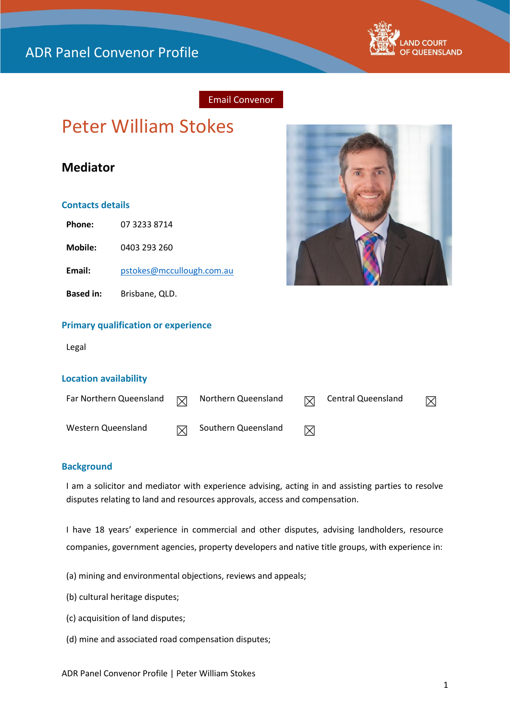

## Email Convenor

# Peter William Stokes

# **Mediator**

#### **Contacts details**

**Phone:** 07 3233 8714

**Mobile:** 0403 293 260

**Email:** [pstokes@mccullough.com.au](mailto:pstokes@mccullough.com.au)

**Based in:** Brisbane, QLD.



#### **Primary qualification or experience**

Legal

#### **Location availability**

| Far Northern Queensland | $\triangledown$ | Northern Queensland | <b>Central Queensland</b> | $\boxtimes$ |
|-------------------------|-----------------|---------------------|---------------------------|-------------|
| Western Queensland      |                 | Southern Queensland |                           |             |

#### **Background**

I am a solicitor and mediator with experience advising, acting in and assisting parties to resolve disputes relating to land and resources approvals, access and compensation.

I have 18 years' experience in commercial and other disputes, advising landholders, resource companies, government agencies, property developers and native title groups, with experience in:

- (a) mining and environmental objections, reviews and appeals;
- (b) cultural heritage disputes;
- (c) acquisition of land disputes;
- (d) mine and associated road compensation disputes;